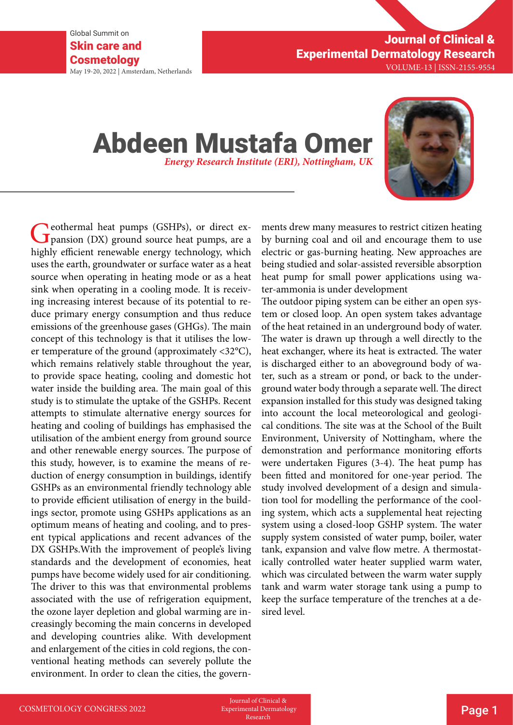Global Summit on Skin care and Cosmetology

Journal of Clinical & Experimental Dermatology Research May 19-20, 2022 | Amsterdam, Netherlands VOLUME-13 | ISSN-2155-9554

## Abdeen Mustafa Omer *Energy Research Institute (ERI), Nottingham, UK*



Ceothermal heat pumps (GSHPs), or direct expansion (DX) ground source heat pumps, are a highly efficient renewable energy technology, which uses the earth, groundwater or surface water as a heat source when operating in heating mode or as a heat sink when operating in a cooling mode. It is receiving increasing interest because of its potential to reduce primary energy consumption and thus reduce emissions of the greenhouse gases (GHGs). The main concept of this technology is that it utilises the lower temperature of the ground (approximately <32°C), which remains relatively stable throughout the year, to provide space heating, cooling and domestic hot water inside the building area. The main goal of this study is to stimulate the uptake of the GSHPs. Recent attempts to stimulate alternative energy sources for heating and cooling of buildings has emphasised the utilisation of the ambient energy from ground source and other renewable energy sources. The purpose of this study, however, is to examine the means of reduction of energy consumption in buildings, identify GSHPs as an environmental friendly technology able to provide efficient utilisation of energy in the buildings sector, promote using GSHPs applications as an optimum means of heating and cooling, and to present typical applications and recent advances of the DX GSHPs.With the improvement of people's living standards and the development of economies, heat pumps have become widely used for air conditioning. The driver to this was that environmental problems associated with the use of refrigeration equipment, the ozone layer depletion and global warming are increasingly becoming the main concerns in developed and developing countries alike. With development and enlargement of the cities in cold regions, the conventional heating methods can severely pollute the environment. In order to clean the cities, the govern-

ments drew many measures to restrict citizen heating by burning coal and oil and encourage them to use electric or gas-burning heating. New approaches are being studied and solar-assisted reversible absorption heat pump for small power applications using water-ammonia is under development

The outdoor piping system can be either an open system or closed loop. An open system takes advantage of the heat retained in an underground body of water. The water is drawn up through a well directly to the heat exchanger, where its heat is extracted. The water is discharged either to an aboveground body of water, such as a stream or pond, or back to the underground water body through a separate well. The direct expansion installed for this study was designed taking into account the local meteorological and geological conditions. The site was at the School of the Built Environment, University of Nottingham, where the demonstration and performance monitoring efforts were undertaken Figures (3-4). The heat pump has been fitted and monitored for one-year period. The study involved development of a design and simulation tool for modelling the performance of the cooling system, which acts a supplemental heat rejecting system using a closed-loop GSHP system. The water supply system consisted of water pump, boiler, water tank, expansion and valve flow metre. A thermostatically controlled water heater supplied warm water, which was circulated between the warm water supply tank and warm water storage tank using a pump to keep the surface temperature of the trenches at a desired level.

Journal of Clinical & Experimental Dermatology Research